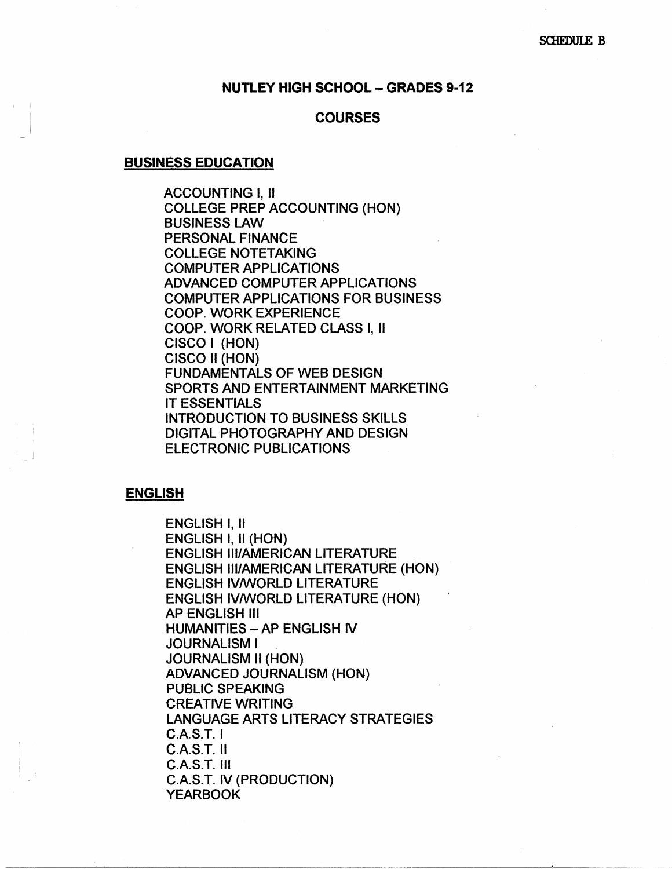## **NUTLEY HIGH SCHOOL - GRADES 9-12**

## **COURSES**

#### **BUSINESS EDUCATION**

ACCOUNTING I, II COLLEGE PREP ACCOUNTING (HON) BUSINESS LAW PERSONAL FINANCE COLLEGE NOTETAKING COMPUTER APPLICATIONS ADVANCED COMPUTER APPLICATIONS COMPUTER APPLICATIONS FOR BUSINESS COOP. WORK EXPERIENCE COOP. WORK RELATED CLASS I, II CISCO I (HON) CISCO II (HON) FUNDAMENTALS OF WEB DESIGN SPORTS AND ENTERTAINMENT MARKETING IT ESSENTIALS INTRODUCTION TO BUSINESS SKILLS DIGITAL PHOTOGRAPHY AND DESIGN ELECTRONIC PUBLICATIONS

#### **ENGLISH**

.. !

ENGLISH I, II ENGLISH I, II (HON) ENGLISH Ill/AMERICAN LITERATURE ENGLISH Ill/AMERICAN LITERATURE (HON) ENGLISH IV/WORLD LITERATURE ENGLISH IV/WORLD LITERATURE (HON) AP ENGLISH Ill **HUMANITIES - AP ENGLISH IV** JOURNALISM I . JOURNALISM II (HON) ADVANCED JOURNALISM (HON) PUBLIC SPEAKING CREATIVE WRITING LANGUAGE ARTS LITERACY STRATEGIES C.A.S.T. I C.A.S.T. II C.A.S.T. Ill C.A.S.T. IV (PRODUCTION) YEARBOOK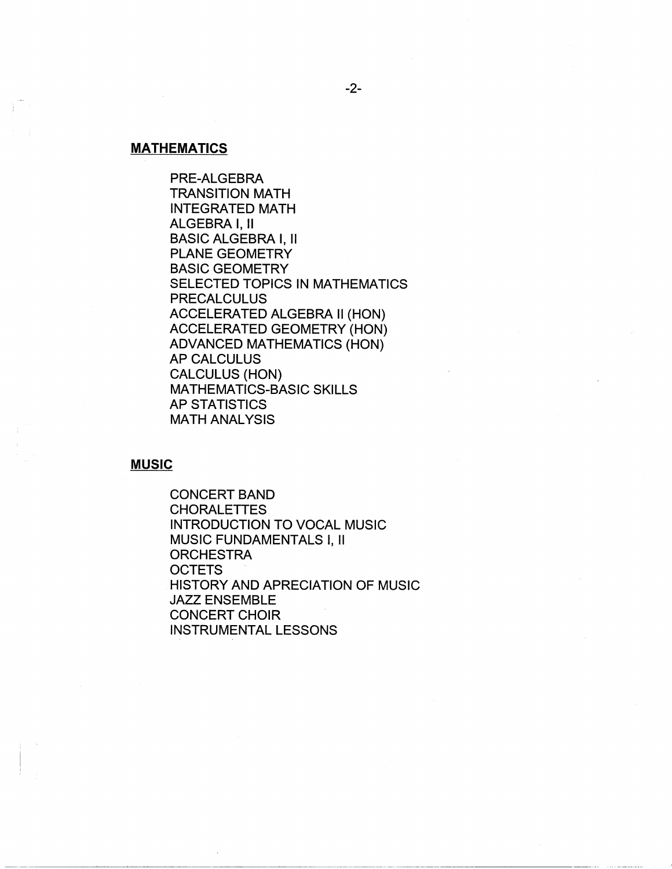### **MATHEMATICS**

PRE-ALGEBRA TRANSITION MATH INTEGRATED MATH ALGEBRA I, II BASIC ALGEBRA I, II PLANE GEOMETRY BASIC GEOMETRY SELECTED TOPICS IN MATHEMATICS PRECALCULUS ACCELERATED ALGEBRA II (HON) ACCELERATED GEOMETRY (HON) ADVANCED MATHEMATICS (HON) AP CALCULUS CALCULUS (HON) MATHEMATICS-BASIC SKILLS AP STATISTICS MATH ANALYSIS

#### **MUSIC**

CONCERT BAND CHORALETTES INTRODUCTION TO VOCAL MUSIC MUSIC FUNDAMENTALS I, II **ORCHESTRA OCTETS** HISTORY AND APRECIATION OF MUSIC JAZZ ENSEMBLE CONCERT CHOIR INSTRUMENTAL LESSONS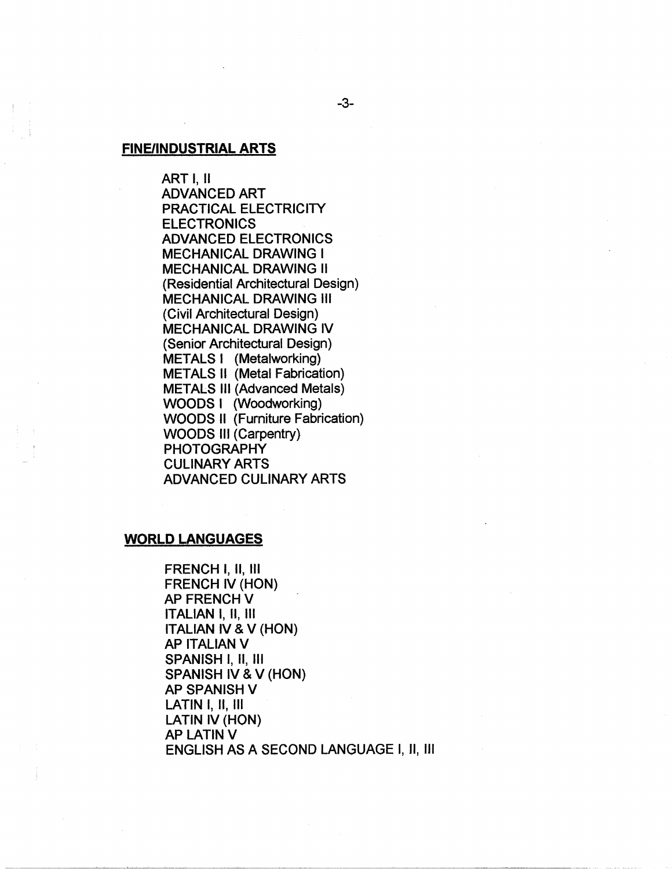### **FINE/INDUSTRIAL ARTS**

ART I, II ADVANCED ART PRACTICAL ELECTRICITY ELECTRONICS ADVANCED ELECTRONICS MECHANICAL DRAWING I MECHANICAL DRAWING II (Residential Architectural Design) MECHANICAL DRAWING Ill (Civil Architectural Design) MECHANICAL DRAWING IV (Senior Architectural Design) METALS I (Metalworking) METALS II (Metal Fabrication) METALS HI (Advanced Metals) WOODS I (Woodworking) WOODS II (Furniture Fabrication) WOODS Ill (Carpentry) PHOTOGRAPHY CULINARY ARTS ADVANCED CULINARY ARTS

### **WORLD LANGUAGES**

FRENCH I, 11, Ill FRENCH IV (HON) **AP FRENCH V** ITALIAN I, II, Ill ITALIAN IV & V (HON) AP ITALIAN V SPANISH I, II, Ill SPANISH IV & V (HON) **AP SPANISH V** LATIN I, II, Ill LATIN IV (HON) **AP LATIN V** ENGLISH AS A SECOND LANGUAGE I, 11, Ill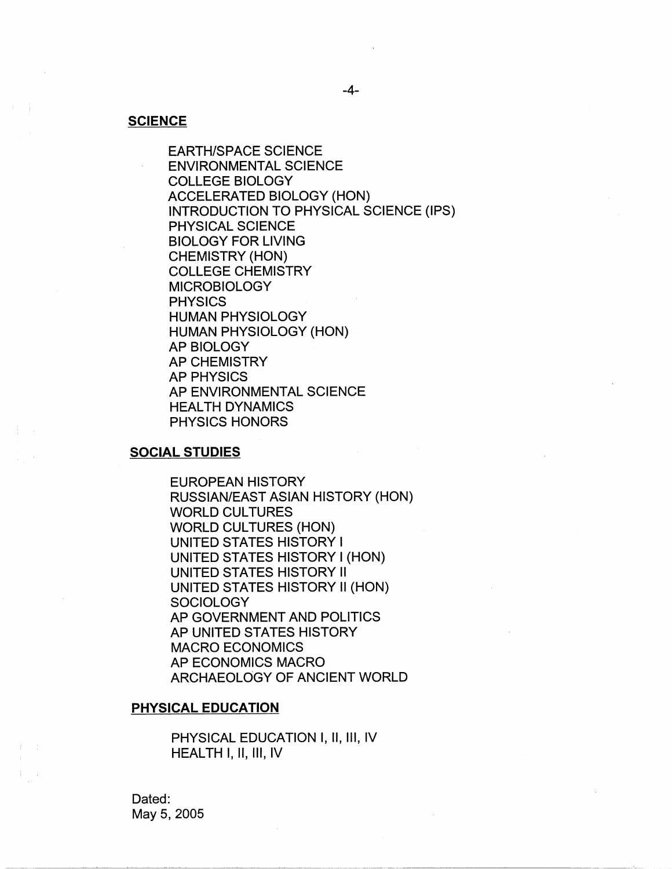## **SCIENCE**

EARTH/SPACE SCIENCE ENVIRONMENTAL SCIENCE COLLEGE BIOLOGY ACCELERATED BIOLOGY (HON) INTRODUCTION TO PHYSICAL SCIENCE (IPS) PHYSICAL SCIENCE BIOLOGY FOR LIVING CHEMISTRY (HON) COLLEGE CHEMISTRY MICROBIOLOGY PHYSICS HUMAN PHYSIOLOGY HUMAN PHYSIOLOGY (HON) AP BIOLOGY AP CHEMISTRY AP PHYSICS AP ENVIRONMENTAL SCIENCE **HEALTH DYNAMICS** PHYSICS HONORS

#### **SOCIAL STUDIES**

EUROPEAN HISTORY RUSSIAN/EAST ASIAN HISTORY (HON) WORLD CULTURES WORLD CULTURES (HON) UNITED STATES HISTORY I UNITED STATES HISTORY I (HON) UNITED STATES HISTORY II UNITED STATES HISTORY II (HON) SOCIOLOGY AP GOVERNMENT AND POLITICS AP UNITED STATES HISTORY MACRO ECONOMICS AP ECONOMICS MACRO ARCHAEOLOGY OF ANCIENT WORLD

### **PHYSICAL EDUCATION**

PHYSICAL EDUCATION I, II, III, IV HEALTH I, II, III, IV

Dated: May 5, 2005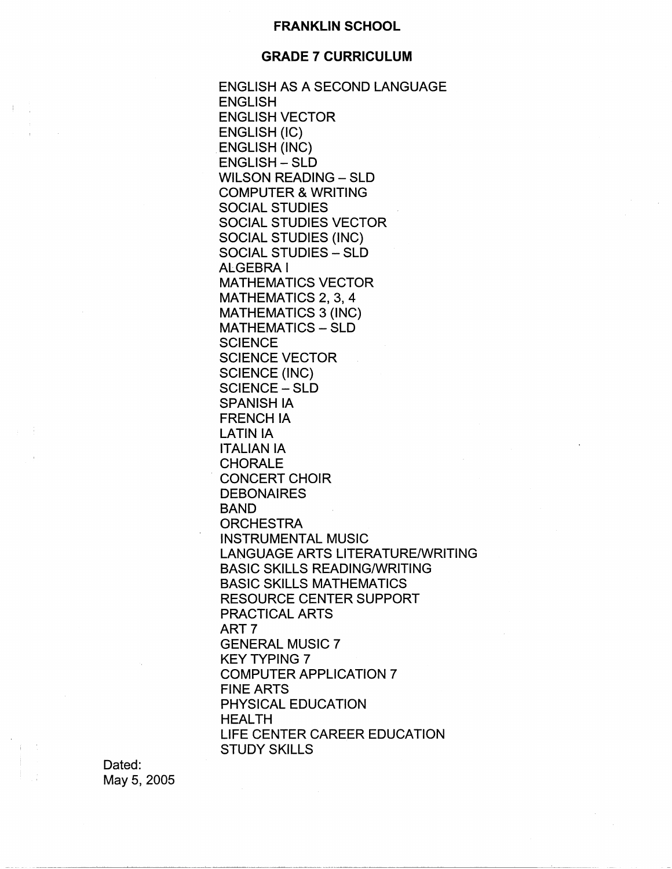## **FRANKLIN SCHOOL**

## **GRADE 7 CURRICULUM**

ENGLISH AS A SECOND LANGUAGE **ENGLISH** ENGLISH VECTOR ENGLISH (IC) . ENGLISH (INC) ENGLISH - SLD WILSON READING - SLD COMPUTER & WRITING SOCIAL STUDIES SOCIAL STUDIES VECTOR SOCIAL STUDIES (INC) SOCIAL STUDIES - SLD ALGEBRA I MATHEMATICS VECTOR MATHEMATICS 2, 3, 4 MATHEMATICS 3 (INC) MATHEMATICS - SLD **SCIENCE** SCIENCE VECTOR SCIENCE (INC) SCIENCE - SLD SPANISH IA FRENCH IA LATIN IA ITALIAN IA **CHORALE** . CONCERT CHOIR **DEBONAIRES** BAND **ORCHESTRA** INSTRUMENTAL MUSIC LANGUAGE ARTS LITERATURE/WRITING BASIC SKILLS READING/WRITING BASIC SKILLS MATHEMATICS RESOURCE CENTER SUPPORT PRACTICAL ARTS ART? GENERAL MUSIC 7 KEY TYPING 7 COMPUTER APPLICATION 7 FINE ARTS PHYSICAL EDUCATION HEALTH LIFE CENTER CAREER EDUCATION STUDY SKILLS

Dated: May 5, 2005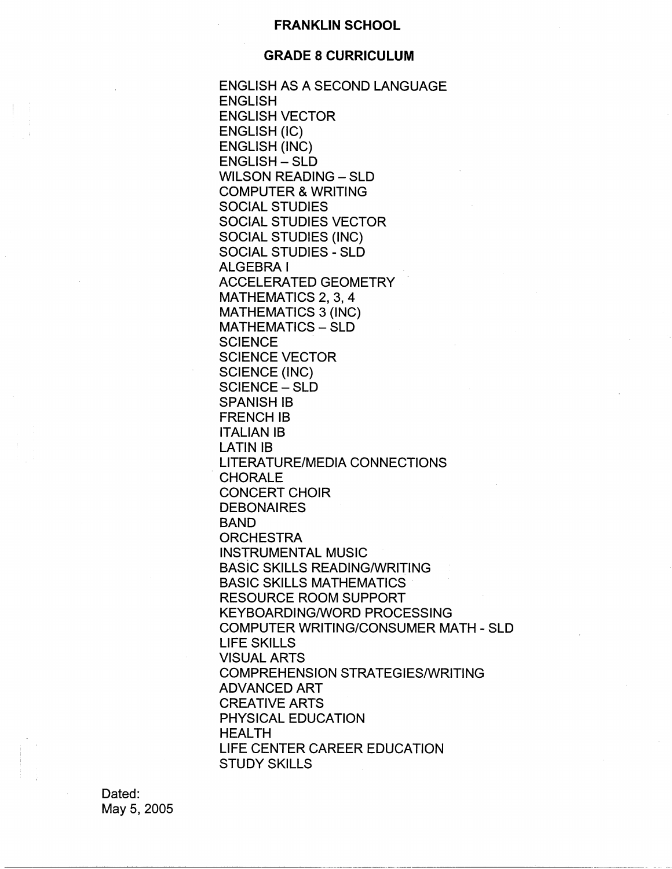# **FRANKLIN SCHOOL**

## **GRADE 8 CURRICULUM**

ENGLISH AS A SECOND LANGUAGE **ENGLISH** ENGLISH VECTOR ENGLISH (IC) ENGLISH (INC) ENGLISH - SLD WILSON READING - SLD COMPUTER & WRITING SOCIAL STUDIES SOCIAL STUDIES VECTOR SOCIAL STUDIES (INC) SOCIAL STUDIES - SLD ALGEBRA I ACCELERATED GEOMETRY MATHEMATICS 2, 3, 4 MATHEMATICS 3 (INC) MATHEMATICS - SLD **SCIENCE** SCIENCE VECTOR SCIENCE (INC) SCIENCE - SLD SPANISH 18 **FRENCH IB** ITALIAN 18 LATIN 18 LITERATURE/MEDIA CONNECTIONS CHORALE CONCERT CHOIR **DEBONAIRES** BAND **ORCHESTRA** INSTRUMENTAL MUSIC BASIC SKILLS READING/WRITING BASIC SKILLS MATHEMATICS RESOURCE ROOM SUPPORT KEYBOARDING/WORD PROCESSING COMPUTER WRITING/CONSUMER MATH - SLD LIFE SKILLS VISUAL ARTS COMPREHENSION STRATEGIES/WRITING ADVANCED ART CREATIVE ARTS PHYSICAL EDUCATION HEALTH LIFE CENTER CAREER EDUCATION STUDY SKILLS

---~----------

Dated: May 5, 2005